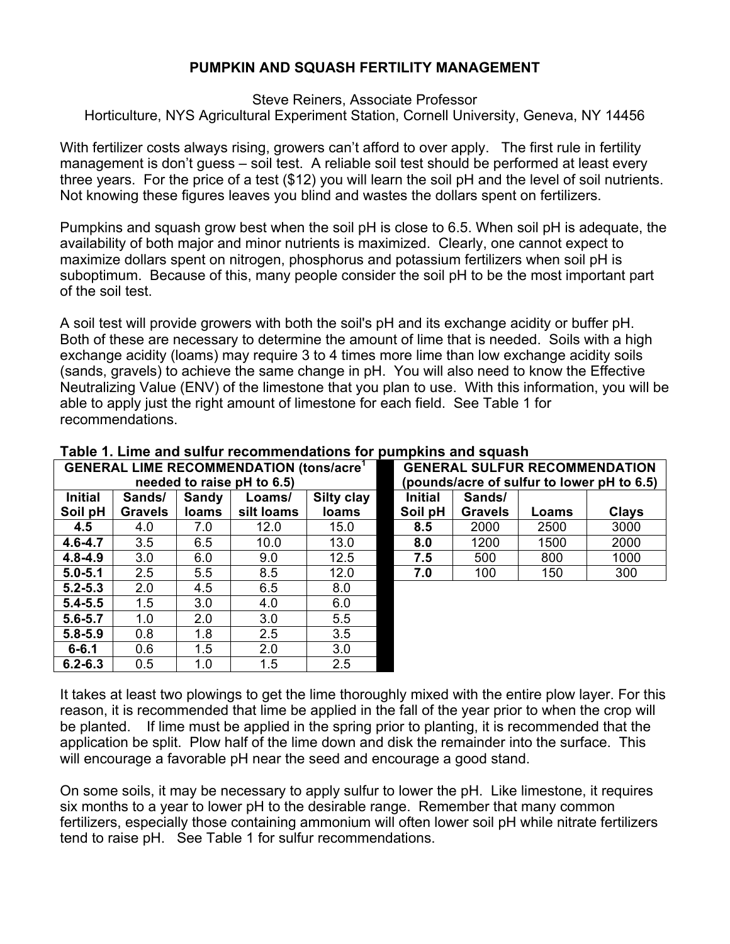## **PUMPKIN AND SQUASH FERTILITY MANAGEMENT**

Steve Reiners, Associate Professor Horticulture, NYS Agricultural Experiment Station, Cornell University, Geneva, NY 14456

With fertilizer costs always rising, growers can't afford to over apply. The first rule in fertility management is don't guess – soil test. A reliable soil test should be performed at least every three years. For the price of a test (\$12) you will learn the soil pH and the level of soil nutrients. Not knowing these figures leaves you blind and wastes the dollars spent on fertilizers.

Pumpkins and squash grow best when the soil pH is close to 6.5. When soil pH is adequate, the availability of both major and minor nutrients is maximized. Clearly, one cannot expect to maximize dollars spent on nitrogen, phosphorus and potassium fertilizers when soil pH is suboptimum. Because of this, many people consider the soil pH to be the most important part of the soil test.

A soil test will provide growers with both the soil's pH and its exchange acidity or buffer pH. Both of these are necessary to determine the amount of lime that is needed. Soils with a high exchange acidity (loams) may require 3 to 4 times more lime than low exchange acidity soils (sands, gravels) to achieve the same change in pH. You will also need to know the Effective Neutralizing Value (ENV) of the limestone that you plan to use. With this information, you will be able to apply just the right amount of limestone for each field. See Table 1 for recommendations.

| <b>GENERAL LIME RECOMMENDATION (tons/acre<sup>1</sup>)</b> |                |              |            |              |  | <b>GENERAL SULFUR RECOMMENDATION</b>       |                |       |              |  |  |
|------------------------------------------------------------|----------------|--------------|------------|--------------|--|--------------------------------------------|----------------|-------|--------------|--|--|
| needed to raise pH to 6.5)                                 |                |              |            |              |  | (pounds/acre of sulfur to lower pH to 6.5) |                |       |              |  |  |
| <b>Initial</b>                                             | Sands/         | Sandy        | Loams/     | Silty clay   |  | <b>Initial</b>                             | Sands/         |       |              |  |  |
| Soil pH                                                    | <b>Gravels</b> | <b>loams</b> | silt loams | <b>loams</b> |  | Soil pH                                    | <b>Gravels</b> | Loams | <b>Clays</b> |  |  |
| 4.5                                                        | 4.0            | 7.0          | 12.0       | 15.0         |  | 8.5                                        | 2000           | 2500  | 3000         |  |  |
| $4.6 - 4.7$                                                | 3.5            | 6.5          | 10.0       | 13.0         |  | 8.0                                        | 1200           | 1500  | 2000         |  |  |
| $4.8 - 4.9$                                                | 3.0            | 6.0          | 9.0        | 12.5         |  | 7.5                                        | 500            | 800   | 1000         |  |  |
| $5.0 - 5.1$                                                | 2.5            | 5.5          | 8.5        | 12.0         |  | 7.0                                        | 100            | 150   | 300          |  |  |
| $5.2 - 5.3$                                                | 2.0            | 4.5          | 6.5        | 8.0          |  |                                            |                |       |              |  |  |
| $5.4 - 5.5$                                                | 1.5            | 3.0          | 4.0        | 6.0          |  |                                            |                |       |              |  |  |
| $5.6 - 5.7$                                                | 1.0            | 2.0          | 3.0        | 5.5          |  |                                            |                |       |              |  |  |
| $5.8 - 5.9$                                                | 0.8            | 1.8          | 2.5        | 3.5          |  |                                            |                |       |              |  |  |
| $6 - 6.1$                                                  | 0.6            | 1.5          | 2.0        | 3.0          |  |                                            |                |       |              |  |  |
| $6.2 - 6.3$                                                | 0.5            | 1.0          | 1.5        | 2.5          |  |                                            |                |       |              |  |  |

## **Table 1. Lime and sulfur recommendations for pumpkins and squash**

It takes at least two plowings to get the lime thoroughly mixed with the entire plow layer. For this reason, it is recommended that lime be applied in the fall of the year prior to when the crop will be planted. If lime must be applied in the spring prior to planting, it is recommended that the application be split. Plow half of the lime down and disk the remainder into the surface. This will encourage a favorable pH near the seed and encourage a good stand.

On some soils, it may be necessary to apply sulfur to lower the pH. Like limestone, it requires six months to a year to lower pH to the desirable range. Remember that many common fertilizers, especially those containing ammonium will often lower soil pH while nitrate fertilizers tend to raise pH. See Table 1 for sulfur recommendations.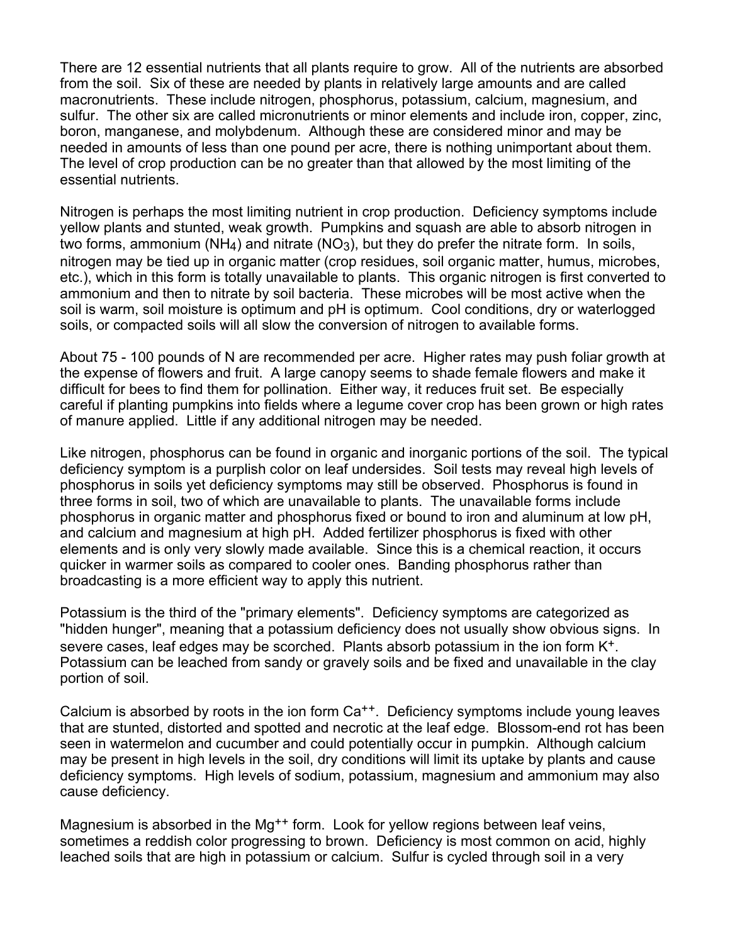There are 12 essential nutrients that all plants require to grow. All of the nutrients are absorbed from the soil. Six of these are needed by plants in relatively large amounts and are called macronutrients. These include nitrogen, phosphorus, potassium, calcium, magnesium, and sulfur. The other six are called micronutrients or minor elements and include iron, copper, zinc, boron, manganese, and molybdenum. Although these are considered minor and may be needed in amounts of less than one pound per acre, there is nothing unimportant about them. The level of crop production can be no greater than that allowed by the most limiting of the essential nutrients.

Nitrogen is perhaps the most limiting nutrient in crop production. Deficiency symptoms include yellow plants and stunted, weak growth. Pumpkins and squash are able to absorb nitrogen in two forms, ammonium ( $NH<sub>4</sub>$ ) and nitrate ( $NO<sub>3</sub>$ ), but they do prefer the nitrate form. In soils, nitrogen may be tied up in organic matter (crop residues, soil organic matter, humus, microbes, etc.), which in this form is totally unavailable to plants. This organic nitrogen is first converted to ammonium and then to nitrate by soil bacteria. These microbes will be most active when the soil is warm, soil moisture is optimum and pH is optimum. Cool conditions, dry or waterlogged soils, or compacted soils will all slow the conversion of nitrogen to available forms.

About 75 - 100 pounds of N are recommended per acre. Higher rates may push foliar growth at the expense of flowers and fruit. A large canopy seems to shade female flowers and make it difficult for bees to find them for pollination. Either way, it reduces fruit set. Be especially careful if planting pumpkins into fields where a legume cover crop has been grown or high rates of manure applied. Little if any additional nitrogen may be needed.

Like nitrogen, phosphorus can be found in organic and inorganic portions of the soil. The typical deficiency symptom is a purplish color on leaf undersides. Soil tests may reveal high levels of phosphorus in soils yet deficiency symptoms may still be observed. Phosphorus is found in three forms in soil, two of which are unavailable to plants. The unavailable forms include phosphorus in organic matter and phosphorus fixed or bound to iron and aluminum at low pH, and calcium and magnesium at high pH. Added fertilizer phosphorus is fixed with other elements and is only very slowly made available. Since this is a chemical reaction, it occurs quicker in warmer soils as compared to cooler ones. Banding phosphorus rather than broadcasting is a more efficient way to apply this nutrient.

Potassium is the third of the "primary elements". Deficiency symptoms are categorized as "hidden hunger", meaning that a potassium deficiency does not usually show obvious signs. In severe cases, leaf edges may be scorched. Plants absorb potassium in the ion form K+. Potassium can be leached from sandy or gravely soils and be fixed and unavailable in the clay portion of soil.

Calcium is absorbed by roots in the ion form Ca<sup>++</sup>. Deficiency symptoms include young leaves that are stunted, distorted and spotted and necrotic at the leaf edge. Blossom-end rot has been seen in watermelon and cucumber and could potentially occur in pumpkin. Although calcium may be present in high levels in the soil, dry conditions will limit its uptake by plants and cause deficiency symptoms. High levels of sodium, potassium, magnesium and ammonium may also cause deficiency.

Magnesium is absorbed in the Mg<sup>++</sup> form. Look for yellow regions between leaf veins, sometimes a reddish color progressing to brown. Deficiency is most common on acid, highly leached soils that are high in potassium or calcium. Sulfur is cycled through soil in a very